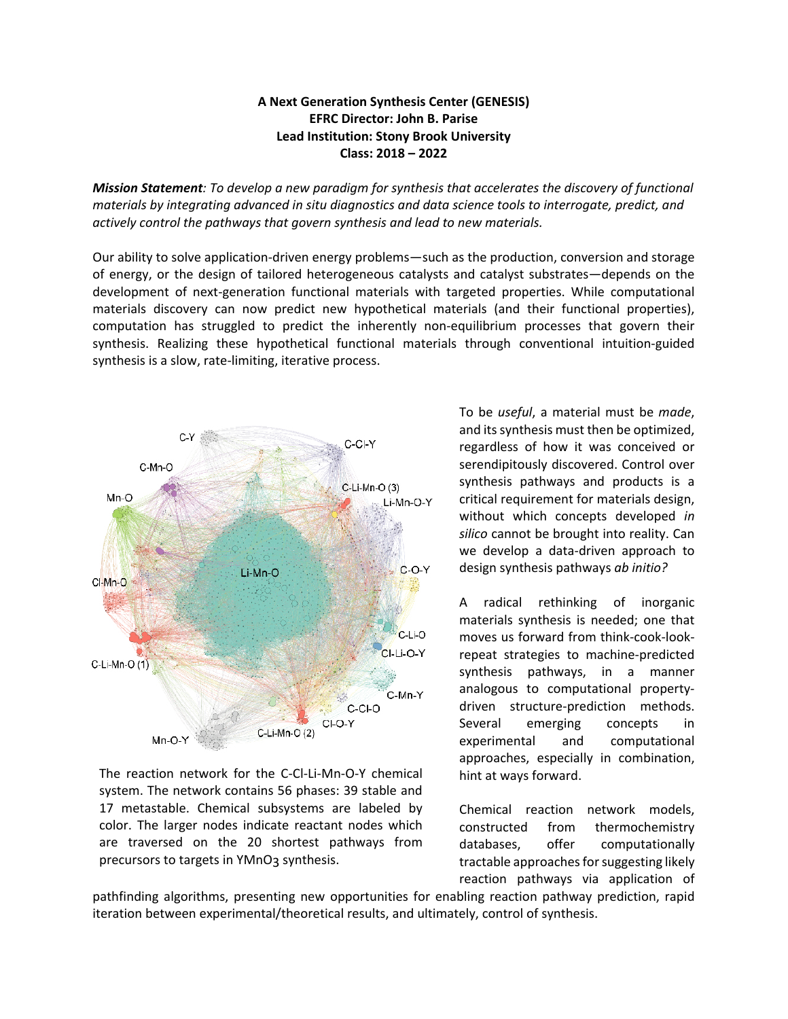## **A Next Generation Synthesis Center (GENESIS) EFRC Director: John B. Parise Lead Institution: Stony Brook University Class: 2018 – 2022**

*Mission Statement: To develop a new paradigm for synthesis that accelerates the discovery of functional materials by integrating advanced in situ diagnostics and data science tools to interrogate, predict, and actively control the pathways that govern synthesis and lead to new materials.*

Our ability to solve application-driven energy problems—such as the production, conversion and storage of energy, or the design of tailored heterogeneous catalysts and catalyst substrates—depends on the development of next-generation functional materials with targeted properties. While computational materials discovery can now predict new hypothetical materials (and their functional properties), computation has struggled to predict the inherently non-equilibrium processes that govern their synthesis. Realizing these hypothetical functional materials through conventional intuition-guided synthesis is a slow, rate-limiting, iterative process.



The reaction network for the C-Cl-Li-Mn-O-Y chemical system. The network contains 56 phases: 39 stable and 17 metastable. Chemical subsystems are labeled by color. The larger nodes indicate reactant nodes which are traversed on the 20 shortest pathways from precursors to targets in YMnO3 synthesis.

To be *useful*, a material must be *made*, and its synthesis must then be optimized, regardless of how it was conceived or serendipitously discovered. Control over synthesis pathways and products is a critical requirement for materials design, without which concepts developed *in silico* cannot be brought into reality. Can we develop a data-driven approach to design synthesis pathways *ab initio?*

A radical rethinking of inorganic materials synthesis is needed; one that moves us forward from think-cook-lookrepeat strategies to machine-predicted synthesis pathways, in a manner analogous to computational propertydriven structure-prediction methods. Several emerging concepts in experimental and computational approaches, especially in combination, hint at ways forward.

Chemical reaction network models, constructed from thermochemistry databases, offer computationally tractable approaches for suggesting likely reaction pathways via application of

pathfinding algorithms, presenting new opportunities for enabling reaction pathway prediction, rapid iteration between experimental/theoretical results, and ultimately, control of synthesis.